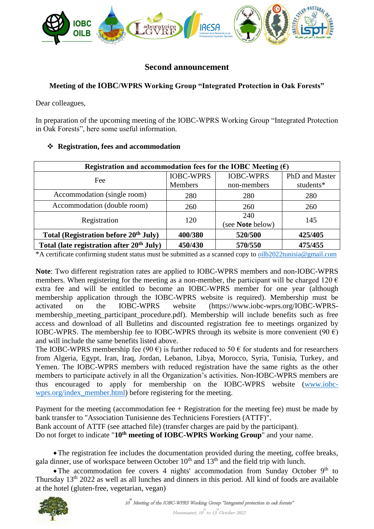

# **Second announcement**

# **Meeting of the IOBC/WPRS Working Group "Integrated Protection in Oak Forests"**

Dear colleagues,

In preparation of the upcoming meeting of the IOBC-WPRS Working Group "Integrated Protection in Oak Forests", here some useful information.

### **Registration, fees and accommodation**

| Registration and accommodation fees for the IOBC Meeting $(\epsilon)$ |                  |                  |                |  |
|-----------------------------------------------------------------------|------------------|------------------|----------------|--|
| Fee                                                                   | <b>IOBC-WPRS</b> | <b>IOBC-WPRS</b> | PhD and Master |  |
|                                                                       | Members          | non-members      | students*      |  |
| Accommodation (single room)                                           | 280              | 280              | 280            |  |
| Accommodation (double room)                                           | 260              | 260              | 260            |  |
| Registration                                                          | 120              | 240              | 145            |  |
|                                                                       |                  | (see Note below) |                |  |
| Total (Registration before 20 <sup>th</sup> July)                     | 400/380          | 520/500          | 425/405        |  |
| Total (late registration after 20 <sup>th</sup> July)                 | 450/430          | 570/550          | 475/455        |  |

\*A certificate confirming student status must be submitted as a scanned copy t[o oilb2022tunisia@gmail.com](mailto:oilb2022tunisia@gmail.com)

**Note**: Two different registration rates are applied to IOBC-WPRS members and non-IOBC-WPRS members. When registering for the meeting as a non-member, the participant will be charged 120  $\epsilon$ extra fee and will be entitled to become an IOBC-WPRS member for one year (although membership application through the IOBC-WPRS website is required). Membership must be activated on the IOBC-WPRS website (https://www.iobc-wprs.org/IOBC-WPRSmembership meeting participant procedure.pdf). Membership will include benefits such as free access and download of all Bulletins and discounted registration fee to meetings organized by IOBC-WPRS. The membership fee to IOBC-WPRS through its website is more convenient (90  $\epsilon$ ) and will include the same benefits listed above.

The IOBC-WPRS membership fee (90  $\epsilon$ ) is further reduced to 50  $\epsilon$  for students and for researchers from Algeria, Egypt, Iran, Iraq, Jordan, Lebanon, Libya, Morocco, Syria, Tunisia, Turkey, and Yemen. The IOBC-WPRS members with reduced registration have the same rights as the other members to participate actively in all the Organization's activities. Non-IOBC-WPRS members are thus encouraged to apply for membership on the IOBC-WPRS website [\(www.iobc](http://www.iobc-wprs.org/index_member.html)[wprs.org/index\\_member.html\)](http://www.iobc-wprs.org/index_member.html) before registering for the meeting.

Payment for the meeting (accommodation fee  $+$  Registration for the meeting fee) must be made by bank transfer to "Association Tunisienne des Techniciens Forestiers (ATTF)".

Bank account of ATTF (see attached file) (transfer charges are paid by the participant).

Do not forget to indicate "**10th meeting of IOBC-WPRS Working Group**" and your name.

The registration fee includes the documentation provided during the meeting, coffee breaks, gala dinner, use of workspace between October  $10<sup>th</sup>$  and  $13<sup>th</sup>$  and the field trip with lunch.

• The accommodation fee covers 4 nights' accommodation from Sunday October 9<sup>th</sup> to Thursday 13th 2022 as well as all lunches and dinners in this period. All kind of foods are available at the hotel (gluten-free, vegetarian, vegan)

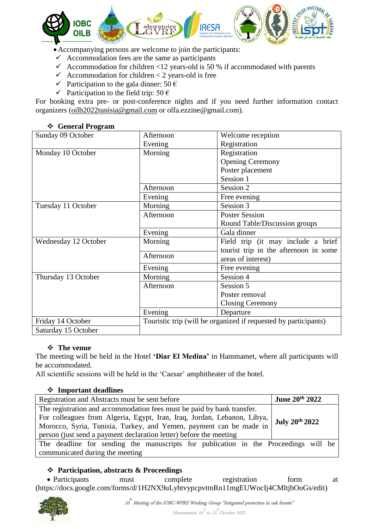

Accompanying persons are welcome to join the participants:

- $\checkmark$  Accommodation fees are the same as participants
- Accommodation for children <12 years-old is 50 % if accommodated with parents
- $\checkmark$  Accommodation for children < 2 years-old is free
- $\checkmark$  Participation to the gala dinner: 50 €
- $\checkmark$  Participation to the field trip: 50 €

For booking extra pre- or post-conference nights and if you need further information contact organizers [\(oilb2022tunisia@gmail.com](mailto:oilb2022tunisia@gmail.com) or olfa.ezzine@gmail.com).

### **General Program**

| Sunday 09 October    | Afternoon                                                       | Welcome reception                     |  |
|----------------------|-----------------------------------------------------------------|---------------------------------------|--|
|                      | Evening                                                         | Registration                          |  |
| Monday 10 October    | Morning                                                         | Registration                          |  |
|                      |                                                                 | <b>Opening Ceremony</b>               |  |
|                      |                                                                 | Poster placement                      |  |
|                      |                                                                 | Session 1                             |  |
|                      | Afternoon                                                       | Session 2                             |  |
|                      | Evening                                                         | Free evening                          |  |
| Tuesday 11 October   | Morning                                                         | Session 3                             |  |
|                      | Afternoon                                                       | <b>Poster Session</b>                 |  |
|                      |                                                                 | Round Table/Discussion groups         |  |
|                      | Evening                                                         | Gala dinner                           |  |
| Wednesday 12 October | Morning                                                         | Field trip (it may include a brief    |  |
|                      |                                                                 | tourist trip in the afternoon in some |  |
|                      | Afternoon                                                       | areas of interest)                    |  |
|                      | Evening                                                         | Free evening                          |  |
| Thursday 13 October  | Morning                                                         | Session 4                             |  |
|                      | Afternoon                                                       | Session 5                             |  |
|                      |                                                                 | Poster removal                        |  |
|                      |                                                                 | <b>Closing Ceremony</b>               |  |
|                      | Evening                                                         | Departure                             |  |
| Friday 14 October    | Touristic trip (will be organized if requested by participants) |                                       |  |
| Saturday 15 October  |                                                                 |                                       |  |

### **The venue**

The meeting will be held in the Hotel **'Diar El Medina'** in Hammamet, where all participants will be accommodated.

All scientific sessions will be held in the 'Caesar' amphitheater of the hotel.

### **Important deadlines**

| Registration and Abstracts must be sent before                                                                                                                                                                                                                                                                  | <b>June 20th 2022</b> |  |  |  |
|-----------------------------------------------------------------------------------------------------------------------------------------------------------------------------------------------------------------------------------------------------------------------------------------------------------------|-----------------------|--|--|--|
| The registration and accommodation fees must be paid by bank transfer.<br>For colleagues from Algeria, Egypt, Iran, Iraq, Jordan, Lebanon, Libya,<br>July 20th 2022<br>Morocco, Syria, Tunisia, Turkey, and Yemen, payment can be made in<br>person (just send a payment declaration letter) before the meeting |                       |  |  |  |
| The deadline for sending the manuscripts for publication in the Proceedings will be<br>communicated during the meeting                                                                                                                                                                                          |                       |  |  |  |

### **Participation, abstracts & Proceedings**

• Participants must complete registration form at (https://docs.google.com/forms/d/1H2NX9uLyhtvypcpvttnRn11mgEUWocIj4CMltjbOoGs/edit)

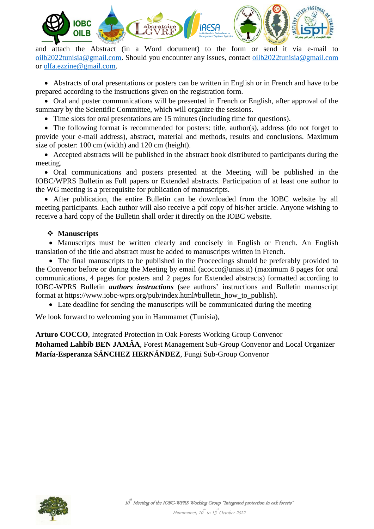

and attach the Abstract (in a Word document) to the form or send it via e-mail to [oilb2022tunisia@gmail.com.](mailto:oilb2022tunisia@gmail.com) Should you encounter any issues, contact [oilb2022tunisia@gmail.com](mailto:oilb2022tunisia@gmail.com) or [olfa.ezzine@gmail.com.](mailto:olfa.ezzine@gmail.com)

 Abstracts of oral presentations or posters can be written in English or in French and have to be prepared according to the instructions given on the registration form.

• Oral and poster communications will be presented in French or English, after approval of the summary by the Scientific Committee, which will organize the sessions.

Time slots for oral presentations are 15 minutes (including time for questions).

• The following format is recommended for posters: title, author(s), address (do not forget to provide your e-mail address), abstract, material and methods, results and conclusions. Maximum size of poster: 100 cm (width) and 120 cm (height).

 Accepted abstracts will be published in the abstract book distributed to participants during the meeting.

 Oral communications and posters presented at the Meeting will be published in the IOBC/WPRS Bulletin as Full papers or Extended abstracts. Participation of at least one author to the WG meeting is a prerequisite for publication of manuscripts.

 After publication, the entire Bulletin can be downloaded from the IOBC website by all meeting participants. Each author will also receive a pdf copy of his/her article. Anyone wishing to receive a hard copy of the Bulletin shall order it directly on the IOBC website.

# **Manuscripts**

• Manuscripts must be written clearly and concisely in English or French. An English translation of the title and abstract must be added to manuscripts written in French.

 The final manuscripts to be published in the Proceedings should be preferably provided to the Convenor before or during the Meeting by email (acocco@uniss.it) (maximum 8 pages for oral communications, 4 pages for posters and 2 pages for Extended abstracts) formatted according to IOBC-WPRS Bulletin *authors instructions* (see authors' instructions and Bulletin manuscript format at https://www.iobc-wprs.org/pub/index.html#bulletin\_how\_to\_publish).

Late deadline for sending the manuscripts will be communicated during the meeting

We look forward to welcoming you in Hammamet (Tunisia),

**Arturo COCCO**, Integrated Protection in Oak Forests Working Group Convenor

**Mohamed Lahbib BEN JAMÂA**, Forest Management Sub-Group Convenor and Local Organizer **María-Esperanza SÁNCHEZ HERNÁNDEZ**, Fungi Sub-Group Convenor

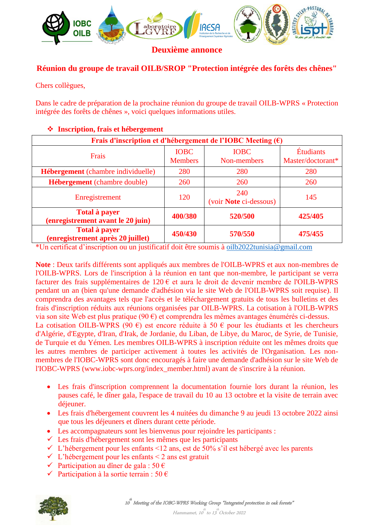

**Deuxième annonce**

# **Réunion du groupe de travail OILB/SROP "Protection intégrée des forêts des chênes"**

Chers collègues,

Dans le cadre de préparation de la prochaine réunion du groupe de travail OILB-WPRS « Protection intégrée des forêts de chênes », voici quelques informations utiles.

#### **Frais d'inscription et d'hébergement de l'IOBC Meeting (€)** Frais IOBC Members IOBC Non-members Étudiants Master/doctorant\* **Hébergement** (chambre individuelle) 280 280 280 280 **Hébergement** (chambre double)  $\vert$  260 260 260 260 Enregistrement 120 240 (voir **Note** ci-dessous) 145 **Total à payer (enregistrement avant le 20 juin) 400/380 520/500 425/405 Total à payer (enregistrement après 20 juillet) 450/430 570/550 475/455**

# **Inscription, frais et hébergement**

\*Un certificat d'inscription ou un justificatif doit être soumis à [oilb2022tunisia@gmail.com](mailto:oilb2022tunisia@gmail.com)

**Note** : Deux tarifs différents sont appliqués aux membres de l'OILB-WPRS et aux non-membres de l'OILB-WPRS. Lors de l'inscription à la réunion en tant que non-membre, le participant se verra facturer des frais supplémentaires de 120 € et aura le droit de devenir membre de l'OILB-WPRS pendant un an (bien qu'une demande d'adhésion via le site Web de l'OILB-WPRS soit requise). Il comprendra des avantages tels que l'accès et le téléchargement gratuits de tous les bulletins et des frais d'inscription réduits aux réunions organisées par OILB-WPRS. La cotisation à l'OILB-WPRS via son site Web est plus pratique (90 €) et comprendra les mêmes avantages énumérés ci-dessus. La cotisation OILB-WPRS (90  $\epsilon$ ) est encore réduite à 50  $\epsilon$  pour les étudiants et les chercheurs d'Algérie, d'Egypte, d'Iran, d'Irak, de Jordanie, du Liban, de Libye, du Maroc, de Syrie, de Tunisie, de Turquie et du Yémen. Les membres OILB-WPRS à inscription réduite ont les mêmes droits que les autres membres de participer activement à toutes les activités de l'Organisation. Les nonmembres de l'IOBC-WPRS sont donc encouragés à faire une demande d'adhésion sur le site Web de l'IOBC-WPRS (www.iobc-wprs.org/index\_member.html) avant de s'inscrire à la réunion.

- Les frais d'inscription comprennent la documentation fournie lors durant la réunion, les pauses café, le dîner gala, l'espace de travail du 10 au 13 octobre et la visite de terrain avec déjeuner.
- Les frais d'hébergement couvrent les 4 nuitées du dimanche 9 au jeudi 13 octobre 2022 ainsi que tous les déjeuners et dîners durant cette période.
- Les accompagnateurs sont les bienvenus pour rejoindre les participants :
- $\checkmark$  Les frais d'hébergement sont les mêmes que les participants
- $\checkmark$  L'hébergement pour les enfants <12 ans, est de 50% s'il est hébergé avec les parents
- $\checkmark$  L'hébergement pour les enfants < 2 ans est gratuit
- $\checkmark$  Participation au dîner de gala : 50 €
- $\checkmark$  Participation à la sortie terrain : 50 €

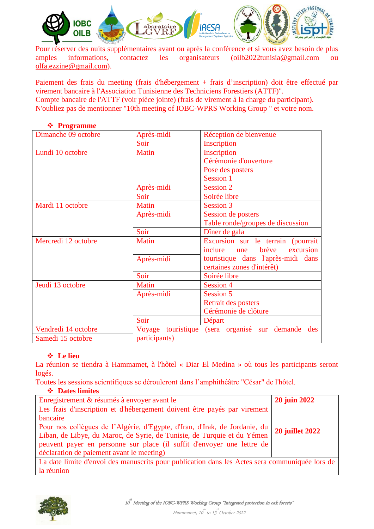

Pour réserver des nuits supplémentaires avant ou après la conférence et si vous avez besoin de plus amples informations, contactez les organisateurs (oilb2022tunisia@gmail.com ou [olfa.ezzine@gmail.com\)](mailto:olfa.ezzine@gmail.com).

Paiement des frais du meeting (frais d'hébergement + frais d'inscription) doit être effectué par virement bancaire à l'Association Tunisienne des Techniciens Forestiers (ATTF)". Compte bancaire de l'ATTF (voir pièce jointe) (frais de virement à la charge du participant). N'oubliez pas de mentionner "10th meeting of IOBC-WPRS Working Group " et votre nom.

| Dimanche 09 octobre | Après-midi    | Réception de bienvenue                                           |  |
|---------------------|---------------|------------------------------------------------------------------|--|
|                     | Soir          | Inscription                                                      |  |
| Lundi 10 octobre    | Matin         | Inscription                                                      |  |
|                     |               | Cérémonie d'ouverture                                            |  |
|                     |               | Pose des posters                                                 |  |
|                     |               | Session 1                                                        |  |
|                     | Après-midi    | Session 2                                                        |  |
|                     | Soir          | Soirée libre                                                     |  |
| Mardi 11 octobre    | Matin         | Session 3                                                        |  |
|                     | Après-midi    | Session de posters                                               |  |
|                     |               | Table ronde/groupes de discussion                                |  |
|                     | Soir          | Dîner de gala                                                    |  |
| Mercredi 12 octobre | <b>Matin</b>  | Excursion sur le terrain (pourrait                               |  |
|                     |               | excursion<br>inclure<br>brève<br>une                             |  |
|                     | Après-midi    | touristique dans l'après-midi dans<br>certaines zones d'intérêt) |  |
|                     | Soir          |                                                                  |  |
|                     |               | Soirée libre                                                     |  |
| Jeudi 13 octobre    | Matin         | <b>Session 4</b>                                                 |  |
|                     | Après-midi    | <b>Session 5</b>                                                 |  |
|                     |               | Retrait des posters                                              |  |
|                     |               | Cérémonie de clôture                                             |  |
|                     | Soir          | Départ                                                           |  |
| Vendredi 14 octobre |               | Voyage touristique (sera organisé sur demande des                |  |
| Samedi 15 octobre   | participants) |                                                                  |  |

### **Programme**

### **Le lieu**

La réunion se tiendra à Hammamet, à l'hôtel « Diar El Medina » où tous les participants seront logés.

Toutes les sessions scientifiques se dérouleront dans l'amphithéâtre "César" de l'hôtel.

### **Dates limites**

| Enregistrement & résumés à envoyer avant le                                                    | <b>20 juin 2022</b>    |  |
|------------------------------------------------------------------------------------------------|------------------------|--|
| Les frais d'inscription et d'hébergement doivent être payés par virement                       |                        |  |
| bancaire                                                                                       |                        |  |
| Pour nos collègues de l'Algérie, d'Egypte, d'Iran, d'Irak, de Jordanie, du                     | <b>20 juillet 2022</b> |  |
| Liban, de Libye, du Maroc, de Syrie, de Tunisie, de Turquie et du Yémen                        |                        |  |
| peuvent payer en personne sur place (il suffit d'envoyer une lettre de                         |                        |  |
| déclaration de paiement avant le meeting)                                                      |                        |  |
| La date limite d'envoi des manuscrits pour publication dans les Actes sera communiquée lors de |                        |  |
| la réunion                                                                                     |                        |  |